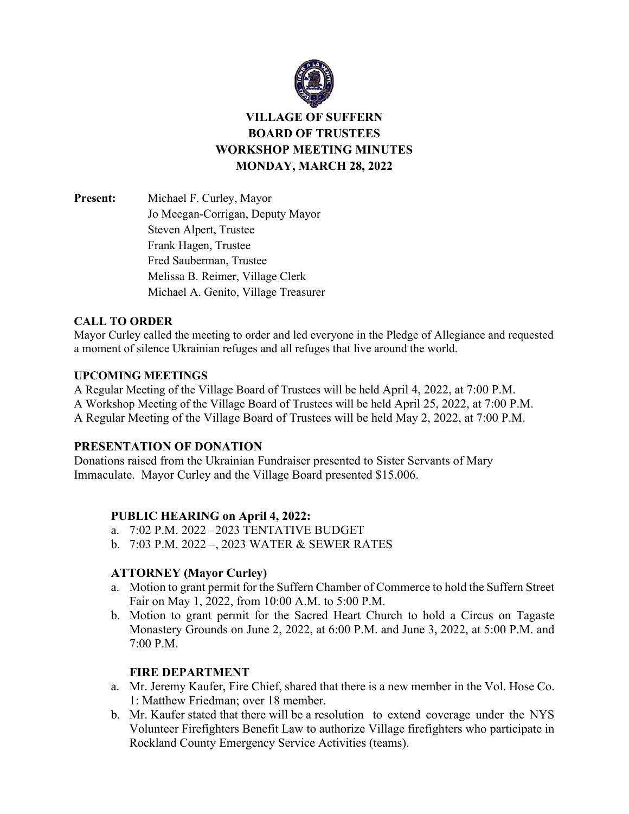

# **VILLAGE OF SUFFERN BOARD OF TRUSTEES WORKSHOP MEETING MINUTES MONDAY, MARCH 28, 2022**

**Present:** Michael F. Curley, Mayor Jo Meegan-Corrigan, Deputy Mayor Steven Alpert, Trustee Frank Hagen, Trustee Fred Sauberman, Trustee Melissa B. Reimer, Village Clerk Michael A. Genito, Village Treasurer

# **CALL TO ORDER**

Mayor Curley called the meeting to order and led everyone in the Pledge of Allegiance and requested a moment of silence Ukrainian refuges and all refuges that live around the world.

#### **UPCOMING MEETINGS**

A Regular Meeting of the Village Board of Trustees will be held April 4, 2022, at 7:00 P.M. A Workshop Meeting of the Village Board of Trustees will be held April 25, 2022, at 7:00 P.M. A Regular Meeting of the Village Board of Trustees will be held May 2, 2022, at 7:00 P.M.

# **PRESENTATION OF DONATION**

Donations raised from the Ukrainian Fundraiser presented to Sister Servants of Mary Immaculate. Mayor Curley and the Village Board presented \$15,006.

# **PUBLIC HEARING on April 4, 2022:**

- a. 7:02 P.M. 2022 –2023 TENTATIVE BUDGET
- b. 7:03 P.M. 2022 –, 2023 WATER & SEWER RATES

# **ATTORNEY (Mayor Curley)**

- a. Motion to grant permit for the Suffern Chamber of Commerce to hold the Suffern Street Fair on May 1, 2022, from 10:00 A.M. to 5:00 P.M.
- b. Motion to grant permit for the Sacred Heart Church to hold a Circus on Tagaste Monastery Grounds on June 2, 2022, at 6:00 P.M. and June 3, 2022, at 5:00 P.M. and 7:00 P.M.

# **FIRE DEPARTMENT**

- a. Mr. Jeremy Kaufer, Fire Chief, shared that there is a new member in the Vol. Hose Co. 1: Matthew Friedman; over 18 member.
- b. Mr. Kaufer stated that there will be a resolution to extend coverage under the NYS Volunteer Firefighters Benefit Law to authorize Village firefighters who participate in Rockland County Emergency Service Activities (teams).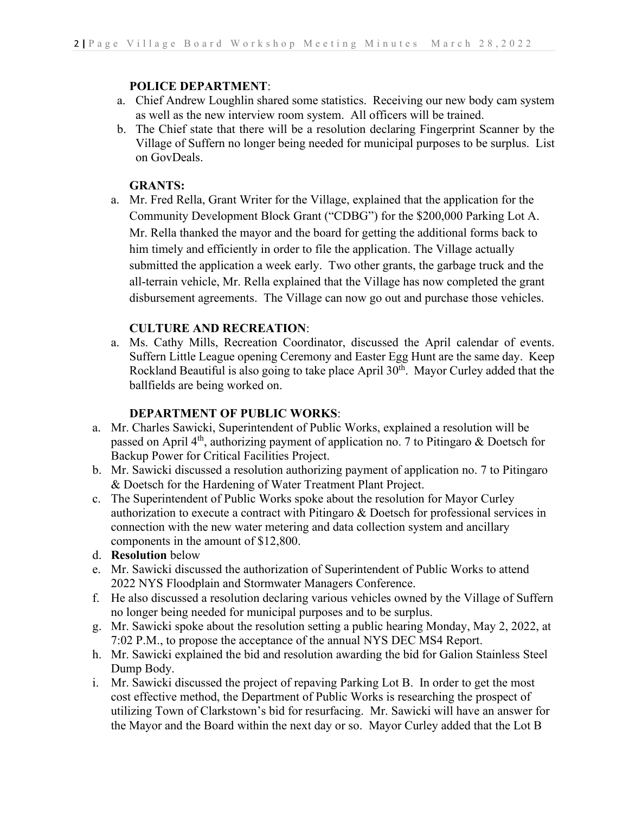# **POLICE DEPARTMENT**:

- a. Chief Andrew Loughlin shared some statistics. Receiving our new body cam system as well as the new interview room system. All officers will be trained.
- b. The Chief state that there will be a resolution declaring Fingerprint Scanner by the Village of Suffern no longer being needed for municipal purposes to be surplus. List on GovDeals.

# **GRANTS:**

a. Mr. Fred Rella, Grant Writer for the Village, explained that the application for the Community Development Block Grant ("CDBG") for the \$200,000 Parking Lot A. Mr. Rella thanked the mayor and the board for getting the additional forms back to him timely and efficiently in order to file the application. The Village actually submitted the application a week early. Two other grants, the garbage truck and the all-terrain vehicle, Mr. Rella explained that the Village has now completed the grant disbursement agreements. The Village can now go out and purchase those vehicles.

# **CULTURE AND RECREATION**:

a. Ms. Cathy Mills, Recreation Coordinator, discussed the April calendar of events. Suffern Little League opening Ceremony and Easter Egg Hunt are the same day. Keep Rockland Beautiful is also going to take place April  $30<sup>th</sup>$ . Mayor Curley added that the ballfields are being worked on.

# **DEPARTMENT OF PUBLIC WORKS**:

- a. Mr. Charles Sawicki, Superintendent of Public Works, explained a resolution will be passed on April 4<sup>th</sup>, authorizing payment of application no. 7 to Pitingaro & Doetsch for Backup Power for Critical Facilities Project.
- b. Mr. Sawicki discussed a resolution authorizing payment of application no. 7 to Pitingaro & Doetsch for the Hardening of Water Treatment Plant Project.
- c. The Superintendent of Public Works spoke about the resolution for Mayor Curley authorization to execute a contract with Pitingaro & Doetsch for professional services in connection with the new water metering and data collection system and ancillary components in the amount of \$12,800.
- d. **Resolution** below
- e. Mr. Sawicki discussed the authorization of Superintendent of Public Works to attend 2022 NYS Floodplain and Stormwater Managers Conference.
- f. He also discussed a resolution declaring various vehicles owned by the Village of Suffern no longer being needed for municipal purposes and to be surplus.
- g. Mr. Sawicki spoke about the resolution setting a public hearing Monday, May 2, 2022, at 7:02 P.M., to propose the acceptance of the annual NYS DEC MS4 Report.
- h. Mr. Sawicki explained the bid and resolution awarding the bid for Galion Stainless Steel Dump Body.
- i. Mr. Sawicki discussed the project of repaving Parking Lot B. In order to get the most cost effective method, the Department of Public Works is researching the prospect of utilizing Town of Clarkstown's bid for resurfacing. Mr. Sawicki will have an answer for the Mayor and the Board within the next day or so. Mayor Curley added that the Lot B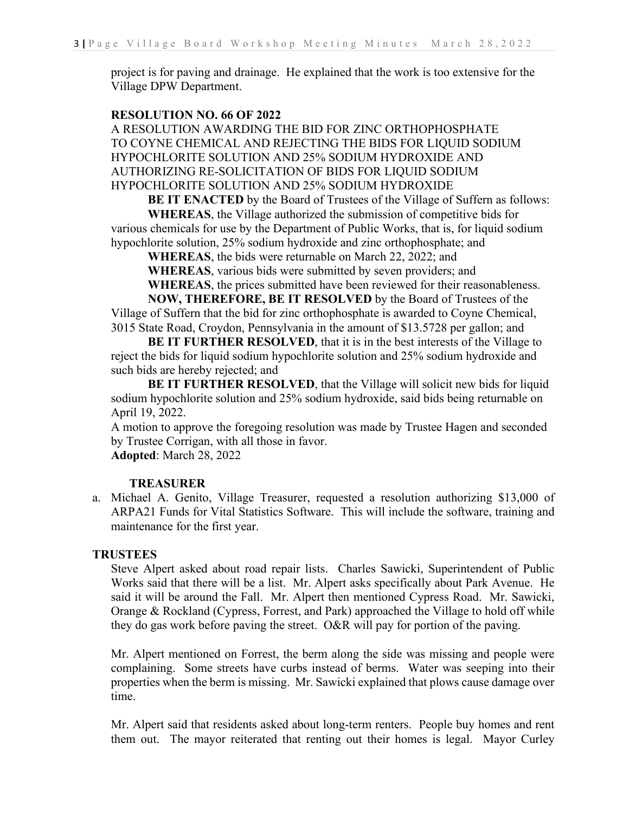project is for paving and drainage. He explained that the work is too extensive for the Village DPW Department.

#### **RESOLUTION NO. 66 OF 2022**

A RESOLUTION AWARDING THE BID FOR ZINC ORTHOPHOSPHATE TO COYNE CHEMICAL AND REJECTING THE BIDS FOR LIQUID SODIUM HYPOCHLORITE SOLUTION AND 25% SODIUM HYDROXIDE AND AUTHORIZING RE-SOLICITATION OF BIDS FOR LIQUID SODIUM HYPOCHLORITE SOLUTION AND 25% SODIUM HYDROXIDE

**BE IT ENACTED** by the Board of Trustees of the Village of Suffern as follows: **WHEREAS**, the Village authorized the submission of competitive bids for various chemicals for use by the Department of Public Works, that is, for liquid sodium

hypochlorite solution, 25% sodium hydroxide and zinc orthophosphate; and

**WHEREAS**, the bids were returnable on March 22, 2022; and

**WHEREAS**, various bids were submitted by seven providers; and

**WHEREAS**, the prices submitted have been reviewed for their reasonableness.

**NOW, THEREFORE, BE IT RESOLVED** by the Board of Trustees of the Village of Suffern that the bid for zinc orthophosphate is awarded to Coyne Chemical, 3015 State Road, Croydon, Pennsylvania in the amount of \$13.5728 per gallon; and

**BE IT FURTHER RESOLVED**, that it is in the best interests of the Village to reject the bids for liquid sodium hypochlorite solution and 25% sodium hydroxide and such bids are hereby rejected; and

**BE IT FURTHER RESOLVED**, that the Village will solicit new bids for liquid sodium hypochlorite solution and 25% sodium hydroxide, said bids being returnable on April 19, 2022.

A motion to approve the foregoing resolution was made by Trustee Hagen and seconded by Trustee Corrigan, with all those in favor.

**Adopted**: March 28, 2022

# **TREASURER**

a. Michael A. Genito, Village Treasurer, requested a resolution authorizing \$13,000 of ARPA21 Funds for Vital Statistics Software. This will include the software, training and maintenance for the first year.

#### **TRUSTEES**

Steve Alpert asked about road repair lists. Charles Sawicki, Superintendent of Public Works said that there will be a list. Mr. Alpert asks specifically about Park Avenue. He said it will be around the Fall. Mr. Alpert then mentioned Cypress Road. Mr. Sawicki, Orange & Rockland (Cypress, Forrest, and Park) approached the Village to hold off while they do gas work before paving the street. O&R will pay for portion of the paving.

Mr. Alpert mentioned on Forrest, the berm along the side was missing and people were complaining. Some streets have curbs instead of berms. Water was seeping into their properties when the berm is missing. Mr. Sawicki explained that plows cause damage over time.

Mr. Alpert said that residents asked about long-term renters. People buy homes and rent them out. The mayor reiterated that renting out their homes is legal. Mayor Curley